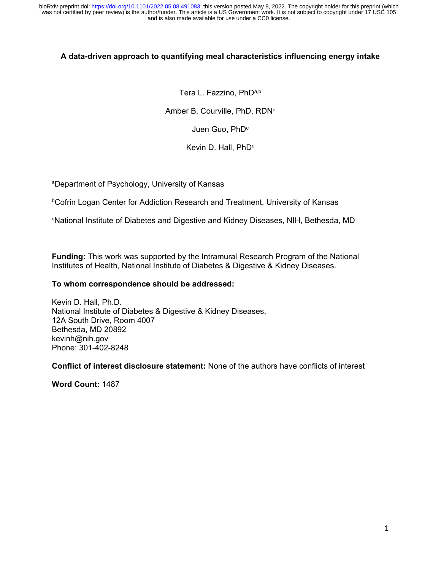## **A data-driven approach to quantifying meal characteristics influencing energy intake**

Tera L. Fazzino, PhDa,b Amber B. Courville, PhD, RDN<sup>c</sup> Juen Guo, PhD<sup>c</sup> Kevin D. Hall, PhD<sup>c</sup>

aDepartment of Psychology, University of Kansas

bCofrin Logan Center for Addiction Research and Treatment, University of Kansas

cNational Institute of Diabetes and Digestive and Kidney Diseases, NIH, Bethesda, MD

**Funding:** This work was supported by the Intramural Research Program of the National Institutes of Health, National Institute of Diabetes & Digestive & Kidney Diseases.

#### **To whom correspondence should be addressed:**

Kevin D. Hall, Ph.D. National Institute of Diabetes & Digestive & Kidney Diseases, 12A South Drive, Room 4007 Bethesda, MD 20892 kevinh@nih.gov Phone: 301-402-8248

**Conflict of interest disclosure statement:** None of the authors have conflicts of interest

**Word Count:** 1487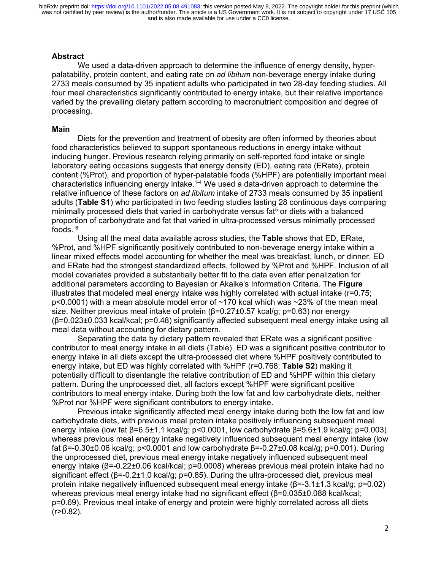### **Abstract**

We used a data-driven approach to determine the influence of energy density, hyperpalatability, protein content, and eating rate on *ad libitum* non-beverage energy intake during 2733 meals consumed by 35 inpatient adults who participated in two 28-day feeding studies. All four meal characteristics significantly contributed to energy intake, but their relative importance varied by the prevailing dietary pattern according to macronutrient composition and degree of processing.

#### **Main**

Diets for the prevention and treatment of obesity are often informed by theories about food characteristics believed to support spontaneous reductions in energy intake without inducing hunger. Previous research relying primarily on self-reported food intake or single laboratory eating occasions suggests that energy density (ED), eating rate (ERate), protein content (%Prot), and proportion of hyper-palatable foods (%HPF) are potentially important meal characteristics influencing energy intake.<sup>1-4</sup> We used a data-driven approach to determine the relative influence of these factors on *ad libitum* intake of 2733 meals consumed by 35 inpatient adults (**Table S1**) who participated in two feeding studies lasting 28 continuous days comparing minimally processed diets that varied in carbohydrate versus fat<sup>5</sup> or diets with a balanced proportion of carbohydrate and fat that varied in ultra-processed versus minimally processed foods. <sup>6</sup>

Using all the meal data available across studies, the **Table** shows that ED, ERate, %Prot, and %HPF significantly positively contributed to non-beverage energy intake within a linear mixed effects model accounting for whether the meal was breakfast, lunch, or dinner. ED and ERate had the strongest standardized effects, followed by %Prot and %HPF. Inclusion of all model covariates provided a substantially better fit to the data even after penalization for additional parameters according to Bayesian or Akaike's Information Criteria. The **Figure** illustrates that modeled meal energy intake was highly correlated with actual intake (r=0.75;  $p$ <0.0001) with a mean absolute model error of  $\sim$ 170 kcal which was  $\sim$ 23% of the mean meal size. Neither previous meal intake of protein (β=0.27±0.57 kcal/g; p=0.63) nor energy (β=0.023±0.033 kcal/kcal; p=0.48) significantly affected subsequent meal energy intake using all meal data without accounting for dietary pattern.

Separating the data by dietary pattern revealed that ERate was a significant positive contributor to meal energy intake in all diets (Table). ED was a significant positive contributor to energy intake in all diets except the ultra-processed diet where %HPF positively contributed to energy intake, but ED was highly correlated with %HPF (r=0.768; **Table S2**) making it potentially difficult to disentangle the relative contribution of ED and %HPF within this dietary pattern. During the unprocessed diet, all factors except %HPF were significant positive contributors to meal energy intake. During both the low fat and low carbohydrate diets, neither %Prot nor %HPF were significant contributors to energy intake.

Previous intake significantly affected meal energy intake during both the low fat and low carbohydrate diets, with previous meal protein intake positively influencing subsequent meal energy intake (low fat β=6.5±1.1 kcal/g; p<0.0001, low carbohydrate β=5.6±1.9 kcal/g; p=0.003) whereas previous meal energy intake negatively influenced subsequent meal energy intake (low fat β=-0.30±0.06 kcal/g; p<0.0001 and low carbohydrate β=-0.27±0.08 kcal/g; p=0.001). During the unprocessed diet, previous meal energy intake negatively influenced subsequent meal energy intake (β=-0.22±0.06 kcal/kcal; p=0.0008) whereas previous meal protein intake had no significant effect (β=-0.2±1.0 kcal/g; p=0.85). During the ultra-processed diet, previous meal protein intake negatively influenced subsequent meal energy intake (β=-3.1±1.3 kcal/g; p=0.02) whereas previous meal energy intake had no significant effect (β=0.035±0.088 kcal/kcal; p=0.69). Previous meal intake of energy and protein were highly correlated across all diets  $(r>0.82)$ .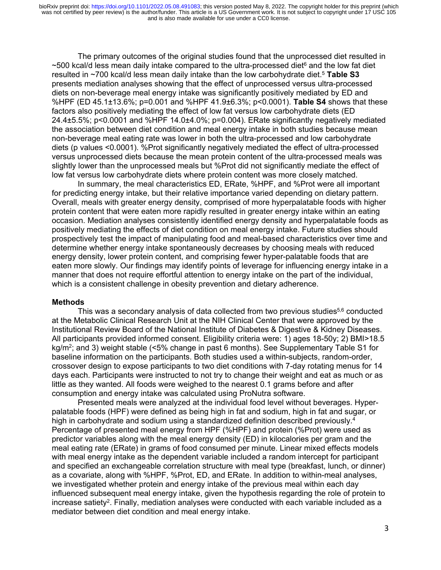The primary outcomes of the original studies found that the unprocessed diet resulted in  $\sim$ 500 kcal/d less mean daily intake compared to the ultra-processed diet $^6$  and the low fat diet resulted in ~700 kcal/d less mean daily intake than the low carbohydrate diet.5 **Table S3** presents mediation analyses showing that the effect of unprocessed versus ultra-processed diets on non-beverage meal energy intake was significantly positively mediated by ED and %HPF (ED 45.1±13.6%; p=0.001 and %HPF 41.9±6.3%; p<0.0001). **Table S4** shows that these factors also positively mediating the effect of low fat versus low carbohydrate diets (ED 24.4±5.5%; p<0.0001 and %HPF 14.0±4.0%; p=0.004). ERate significantly negatively mediated the association between diet condition and meal energy intake in both studies because mean non-beverage meal eating rate was lower in both the ultra-processed and low carbohydrate diets (p values <0.0001). %Prot significantly negatively mediated the effect of ultra-processed versus unprocessed diets because the mean protein content of the ultra-processed meals was slightly lower than the unprocessed meals but %Prot did not significantly mediate the effect of low fat versus low carbohydrate diets where protein content was more closely matched.

In summary, the meal characteristics ED, ERate, %HPF, and %Prot were all important for predicting energy intake, but their relative importance varied depending on dietary pattern. Overall, meals with greater energy density, comprised of more hyperpalatable foods with higher protein content that were eaten more rapidly resulted in greater energy intake within an eating occasion. Mediation analyses consistently identified energy density and hyperpalatable foods as positively mediating the effects of diet condition on meal energy intake. Future studies should prospectively test the impact of manipulating food and meal-based characteristics over time and determine whether energy intake spontaneously decreases by choosing meals with reduced energy density, lower protein content, and comprising fewer hyper-palatable foods that are eaten more slowly. Our findings may identify points of leverage for influencing energy intake in a manner that does not require effortful attention to energy intake on the part of the individual, which is a consistent challenge in obesity prevention and dietary adherence.

### **Methods**

This was a secondary analysis of data collected from two previous studies<sup>5,6</sup> conducted at the Metabolic Clinical Research Unit at the NIH Clinical Center that were approved by the Institutional Review Board of the National Institute of Diabetes & Digestive & Kidney Diseases. All participants provided informed consent. Eligibility criteria were: 1) ages 18-50y; 2) BMI>18.5 kg/m<sup>2</sup>; and 3) weight stable (<5% change in past 6 months). See Supplementary Table S1 for baseline information on the participants. Both studies used a within-subjects, random-order, crossover design to expose participants to two diet conditions with 7-day rotating menus for 14 days each. Participants were instructed to not try to change their weight and eat as much or as little as they wanted. All foods were weighed to the nearest 0.1 grams before and after consumption and energy intake was calculated using ProNutra software.

Presented meals were analyzed at the individual food level without beverages. Hyperpalatable foods (HPF) were defined as being high in fat and sodium, high in fat and sugar, or high in carbohydrate and sodium using a standardized definition described previously.<sup>4</sup> Percentage of presented meal energy from HPF (%HPF) and protein (%Prot) were used as predictor variables along with the meal energy density (ED) in kilocalories per gram and the meal eating rate (ERate) in grams of food consumed per minute. Linear mixed effects models with meal energy intake as the dependent variable included a random intercept for participant and specified an exchangeable correlation structure with meal type (breakfast, lunch, or dinner) as a covariate, along with %HPF, %Prot, ED, and ERate. In addition to within-meal analyses, we investigated whether protein and energy intake of the previous meal within each day influenced subsequent meal energy intake, given the hypothesis regarding the role of protein to increase satiety<sup>2</sup>. Finally, mediation analyses were conducted with each variable included as a mediator between diet condition and meal energy intake.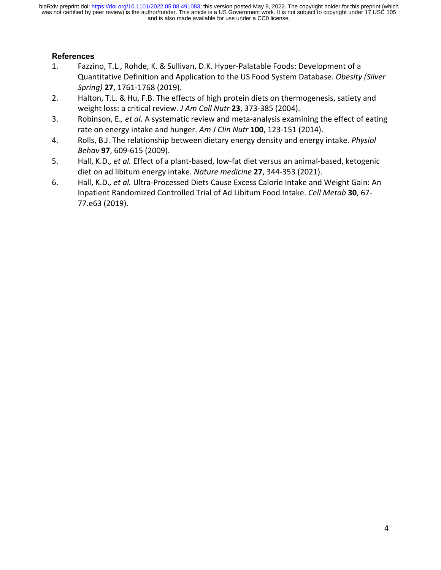# **References**

- 1. Fazzino, T.L., Rohde, K. & Sullivan, D.K. Hyper-Palatable Foods: Development of a Quantitative Definition and Application to the US Food System Database. *Obesity (Silver Spring)* **27**, 1761-1768 (2019).
- 2. Halton, T.L. & Hu, F.B. The effects of high protein diets on thermogenesis, satiety and weight loss: a critical review. *J Am Coll Nutr* **23**, 373-385 (2004).
- 3. Robinson, E.*, et al.* A systematic review and meta-analysis examining the effect of eating rate on energy intake and hunger. *Am J Clin Nutr* **100**, 123-151 (2014).
- 4. Rolls, B.J. The relationship between dietary energy density and energy intake. *Physiol Behav* **97**, 609-615 (2009).
- 5. Hall, K.D.*, et al.* Effect of a plant-based, low-fat diet versus an animal-based, ketogenic diet on ad libitum energy intake. *Nature medicine* **27**, 344-353 (2021).
- 6. Hall, K.D.*, et al.* Ultra-Processed Diets Cause Excess Calorie Intake and Weight Gain: An Inpatient Randomized Controlled Trial of Ad Libitum Food Intake. *Cell Metab* **30**, 67- 77.e63 (2019).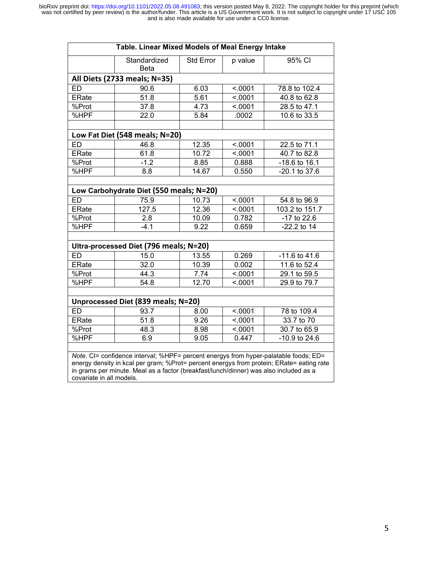| Table. Linear Mixed Models of Meal Energy Intake                                                                                                                                                                                                                                                      |                                                 |                  |                    |                                |
|-------------------------------------------------------------------------------------------------------------------------------------------------------------------------------------------------------------------------------------------------------------------------------------------------------|-------------------------------------------------|------------------|--------------------|--------------------------------|
|                                                                                                                                                                                                                                                                                                       | Standardized<br><b>Beta</b>                     | <b>Std Error</b> | p value            | 95% CI                         |
|                                                                                                                                                                                                                                                                                                       | All Diets (2733 meals; N=35)                    |                  |                    |                                |
| <b>ED</b>                                                                                                                                                                                                                                                                                             | 90.6                                            | 6.03             | < .0001            | 78.8 to 102.4                  |
| <b>ERate</b>                                                                                                                                                                                                                                                                                          | 51.8                                            | 5.61             | < .0001            | 40.8 to 62.8                   |
| %Prot                                                                                                                                                                                                                                                                                                 | $\overline{37.8}$                               | 4.73             | < 0001             | 28.5 to 47.1                   |
| %HPF                                                                                                                                                                                                                                                                                                  | 22.0                                            | 5.84             | .0002              | 10.6 to 33.5                   |
|                                                                                                                                                                                                                                                                                                       | Low Fat Diet (548 meals; N=20)                  |                  |                    |                                |
| <b>ED</b>                                                                                                                                                                                                                                                                                             | 46.8                                            | 12.35            | < .0001            | 22.5 to 71.1                   |
| <b>ERate</b>                                                                                                                                                                                                                                                                                          | 61.8                                            | 10.72            | < .0001            | 40.7 to 82.8                   |
| %Prot                                                                                                                                                                                                                                                                                                 | $-1.2$                                          | 8.85             | 0.888              | -18.6 to 16.1                  |
| %HPF                                                                                                                                                                                                                                                                                                  | 8.8                                             | 14.67            | 0.550              | $-20.1$ to 37.6                |
|                                                                                                                                                                                                                                                                                                       |                                                 |                  |                    |                                |
| <b>ED</b>                                                                                                                                                                                                                                                                                             | Low Carbohydrate Diet (550 meals; N=20)<br>75.9 |                  |                    |                                |
| <b>ERate</b>                                                                                                                                                                                                                                                                                          | 127.5                                           | 10.73<br>12.36   | < .0001<br>< .0001 | 54.8 to 96.9<br>103.2 to 151.7 |
|                                                                                                                                                                                                                                                                                                       |                                                 |                  |                    |                                |
| %Prot                                                                                                                                                                                                                                                                                                 | 2.8                                             | 10.09            | 0.782              | -17 to 22.6<br>$-22.2$ to 14   |
| %HPF                                                                                                                                                                                                                                                                                                  | $-4.1$                                          | 9.22             | 0.659              |                                |
|                                                                                                                                                                                                                                                                                                       | Ultra-processed Diet (796 meals; N=20)          |                  |                    |                                |
| <b>ED</b>                                                                                                                                                                                                                                                                                             | 15.0                                            | 13.55            | 0.269              | $-11.6$ to $41.6$              |
| <b>ERate</b>                                                                                                                                                                                                                                                                                          | 32.0                                            | 10.39            | 0.002              | 11.6 to 52.4                   |
| %Prot                                                                                                                                                                                                                                                                                                 | 44.3                                            | 7.74             | < .0001            | 29.1 to 59.5                   |
| %HPF                                                                                                                                                                                                                                                                                                  | 54.8                                            | 12.70            | < .0001            | 29.9 to 79.7                   |
|                                                                                                                                                                                                                                                                                                       | Unprocessed Diet (839 meals; N=20)              |                  |                    |                                |
| <b>ED</b>                                                                                                                                                                                                                                                                                             | 93.7                                            | 8.00             | < .0001            | 78 to 109.4                    |
| <b>ERate</b>                                                                                                                                                                                                                                                                                          | 51.8                                            | 9.26             | < .0001            | 33.7 to 70                     |
| %Prot                                                                                                                                                                                                                                                                                                 | 48.3                                            | 8.98             | < .0001            | 30.7 to 65.9                   |
| %HPF                                                                                                                                                                                                                                                                                                  | 6.9                                             | 9.05             | 0.447              | -10.9 to 24.6                  |
| Note. CI= confidence interval; %HPF= percent energys from hyper-palatable foods; ED=<br>energy density in kcal per gram; %Prot= percent energys from protein; ERate= eating rate<br>in grams per minute. Meal as a factor (breakfast/lunch/dinner) was also included as a<br>covariate in all models. |                                                 |                  |                    |                                |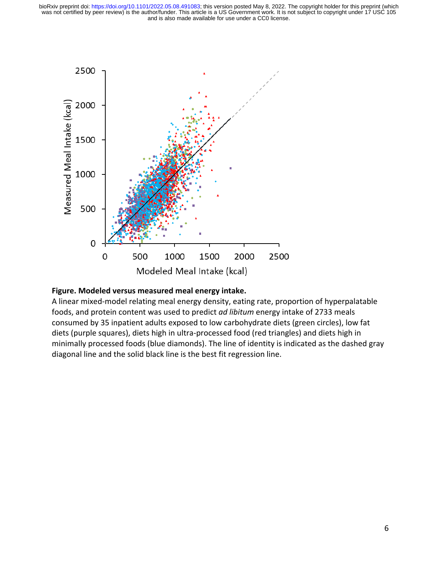

## **Figure. Modeled versus measured meal energy intake.**

A linear mixed-model relating meal energy density, eating rate, proportion of hyperpalatable foods, and protein content was used to predict *ad libitum* energy intake of 2733 meals consumed by 35 inpatient adults exposed to low carbohydrate diets (green circles), low fat diets (purple squares), diets high in ultra-processed food (red triangles) and diets high in minimally processed foods (blue diamonds). The line of identity is indicated as the dashed gray diagonal line and the solid black line is the best fit regression line.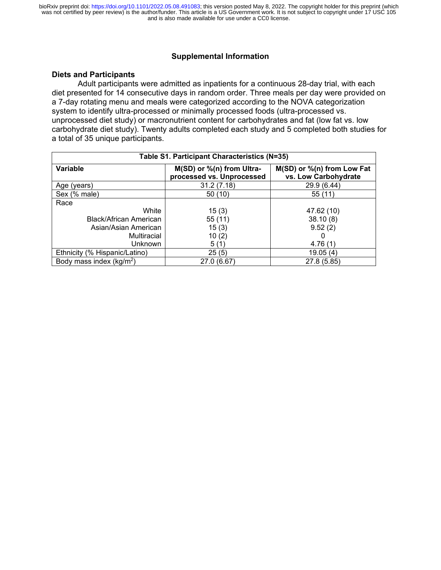### **Supplemental Information**

#### **Diets and Participants**

Adult participants were admitted as inpatients for a continuous 28-day trial, with each diet presented for 14 consecutive days in random order. Three meals per day were provided on a 7-day rotating menu and meals were categorized according to the NOVA categorization system to identify ultra-processed or minimally processed foods (ultra-processed vs. unprocessed diet study) or macronutrient content for carbohydrates and fat (low fat vs. low carbohydrate diet study). Twenty adults completed each study and 5 completed both studies for a total of 35 unique participants.

| Table S1. Participant Characteristics (N=35) |                                                        |                                                    |  |  |
|----------------------------------------------|--------------------------------------------------------|----------------------------------------------------|--|--|
| Variable                                     | M(SD) or %(n) from Ultra-<br>processed vs. Unprocessed | M(SD) or %(n) from Low Fat<br>vs. Low Carbohydrate |  |  |
| Age (years)                                  | 31.2(7.18)                                             | 29.9 (6.44)                                        |  |  |
| Sex (% male)                                 | 50 (10)                                                | 55 (11)                                            |  |  |
| Race                                         |                                                        |                                                    |  |  |
| White                                        | 15(3)                                                  | 47.62 (10)                                         |  |  |
| Black/African American                       | 55(11)                                                 | 38.10(8)                                           |  |  |
| Asian/Asian American                         | 15(3)                                                  | 9.52(2)                                            |  |  |
| Multiracial                                  | 10(2)                                                  | 0                                                  |  |  |
| <b>Unknown</b>                               | 5(1)                                                   | 4.76(1)                                            |  |  |
| Ethnicity (% Hispanic/Latino)                | 25(5)                                                  | 19.05(4)                                           |  |  |
| Body mass index ( $kg/m2$ )                  | 27.0 (6.67)                                            | 27.8 (5.85)                                        |  |  |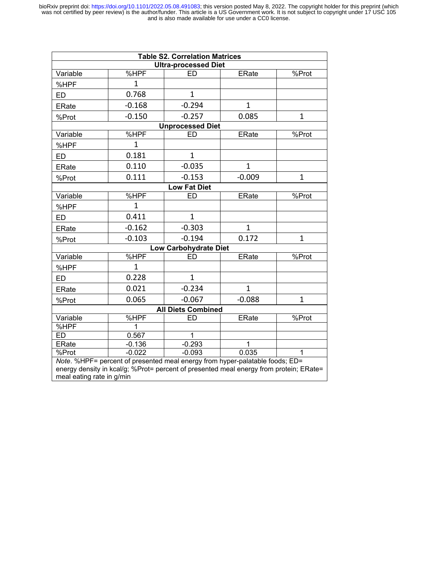| <b>Table S2. Correlation Matrices</b> |              |                                                                                                                                                                        |              |                      |  |
|---------------------------------------|--------------|------------------------------------------------------------------------------------------------------------------------------------------------------------------------|--------------|----------------------|--|
| <b>Ultra-processed Diet</b>           |              |                                                                                                                                                                        |              |                      |  |
| Variable                              | %HPF         | ED                                                                                                                                                                     | <b>ERate</b> | $\overline{\%}$ Prot |  |
| %HPF                                  | $\mathbf{1}$ |                                                                                                                                                                        |              |                      |  |
| ED                                    | 0.768        | $\mathbf{1}$                                                                                                                                                           |              |                      |  |
| <b>ERate</b>                          | $-0.168$     | $-0.294$                                                                                                                                                               | $\mathbf{1}$ |                      |  |
| %Prot                                 | $-0.150$     | $-0.257$                                                                                                                                                               | 0.085        | $\mathbf{1}$         |  |
|                                       |              | <b>Unprocessed Diet</b>                                                                                                                                                |              |                      |  |
| Variable                              | %HPF         | <b>ED</b>                                                                                                                                                              | <b>ERate</b> | %Prot                |  |
| %HPF                                  | $\mathbf{1}$ |                                                                                                                                                                        |              |                      |  |
| ED                                    | 0.181        | $\mathbf{1}$                                                                                                                                                           |              |                      |  |
| <b>ERate</b>                          | 0.110        | $-0.035$                                                                                                                                                               | $\mathbf{1}$ |                      |  |
| %Prot                                 | 0.111        | $-0.153$                                                                                                                                                               | $-0.009$     | $\mathbf{1}$         |  |
| <b>Low Fat Diet</b>                   |              |                                                                                                                                                                        |              |                      |  |
| Variable                              | %HPF         | <b>ED</b>                                                                                                                                                              | <b>ERate</b> | %Prot                |  |
| %HPF                                  | $\mathbf{1}$ |                                                                                                                                                                        |              |                      |  |
| <b>ED</b>                             | 0.411        | $\mathbf{1}$                                                                                                                                                           |              |                      |  |
| <b>ERate</b>                          | $-0.162$     | $-0.303$                                                                                                                                                               | $\mathbf{1}$ |                      |  |
| %Prot                                 | $-0.103$     | $-0.194$                                                                                                                                                               | 0.172        | $\mathbf{1}$         |  |
|                                       |              | <b>Low Carbohydrate Diet</b>                                                                                                                                           |              |                      |  |
| Variable                              | %HPF         | FD                                                                                                                                                                     | <b>ERate</b> | %Prot                |  |
| %HPF                                  | $\mathbf{1}$ |                                                                                                                                                                        |              |                      |  |
| <b>ED</b>                             | 0.228        | $\mathbf{1}$                                                                                                                                                           |              |                      |  |
| <b>ERate</b>                          | 0.021        | $-0.234$                                                                                                                                                               | $\mathbf{1}$ |                      |  |
| %Prot                                 | 0.065        | $-0.067$                                                                                                                                                               | $-0.088$     | $\mathbf{1}$         |  |
|                                       |              | <b>All Diets Combined</b>                                                                                                                                              |              |                      |  |
| Variable                              | %HPF         | ED                                                                                                                                                                     | <b>ERate</b> | %Prot                |  |
| %HPF                                  | 1            |                                                                                                                                                                        |              |                      |  |
| <b>ED</b>                             | 0.567        | $\mathbf{1}$                                                                                                                                                           |              |                      |  |
| ERate                                 | $-0.136$     | $-0.293$                                                                                                                                                               | $\mathbf{1}$ |                      |  |
| %Prot                                 | $-0.022$     | $-0.093$                                                                                                                                                               | 0.035        | 1                    |  |
| meal eating rate in g/min             |              | Note. %HPF= percent of presented meal energy from hyper-palatable foods; ED=<br>energy density in kcal/g; %Prot= percent of presented meal energy from protein; ERate= |              |                      |  |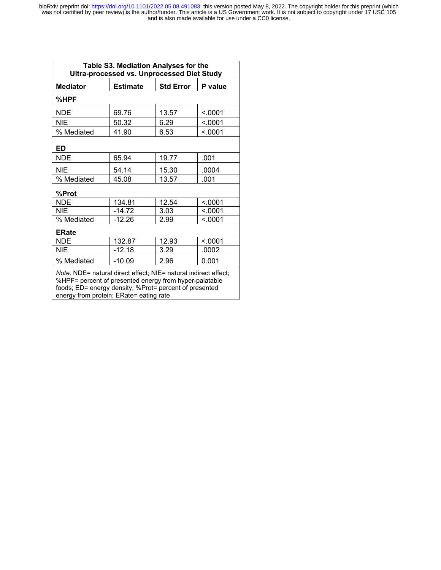| Table S3. Mediation Analyses for the<br><b>Ultra-processed vs. Unprocessed Diet Study</b>                                                                                                                                      |                 |                  |         |  |
|--------------------------------------------------------------------------------------------------------------------------------------------------------------------------------------------------------------------------------|-----------------|------------------|---------|--|
| <b>Mediator</b>                                                                                                                                                                                                                | <b>Estimate</b> | <b>Std Error</b> | P value |  |
| %HPF                                                                                                                                                                                                                           |                 |                  |         |  |
| <b>NDE</b>                                                                                                                                                                                                                     | 69.76           | 13.57            | < .0001 |  |
| <b>NIE</b>                                                                                                                                                                                                                     | 50.32           | 6.29             | < .0001 |  |
| % Mediated                                                                                                                                                                                                                     | 41.90           | 6.53             | < .0001 |  |
| ED                                                                                                                                                                                                                             |                 |                  |         |  |
| <b>NDE</b>                                                                                                                                                                                                                     | 65.94           | 19.77            | .001    |  |
| <b>NIE</b>                                                                                                                                                                                                                     | 54.14           | 15.30            | .0004   |  |
| % Mediated                                                                                                                                                                                                                     | 45.08           | 13.57            | .001    |  |
| %Prot                                                                                                                                                                                                                          |                 |                  |         |  |
| <b>NDE</b>                                                                                                                                                                                                                     | 134.81          | 12.54            | < 0001  |  |
| NIE                                                                                                                                                                                                                            | $-14.72$        | 3.03             | < 0001  |  |
| % Mediated                                                                                                                                                                                                                     | -12.26          | 2.99             | < 0.001 |  |
| <b>ERate</b>                                                                                                                                                                                                                   |                 |                  |         |  |
| <b>NDE</b>                                                                                                                                                                                                                     | 132.87          | 12.93            | < 0001  |  |
| NIE                                                                                                                                                                                                                            | -12.18          | 3.29             | .0002   |  |
| % Mediated                                                                                                                                                                                                                     | $-10.09$        | 2.96             | 0.001   |  |
| Note. NDE= natural direct effect; NIE= natural indirect effect;<br>%HPF= percent of presented energy from hyper-palatable<br>foods; ED= energy density; %Prot= percent of presented<br>energy from protein; ERate= eating rate |                 |                  |         |  |